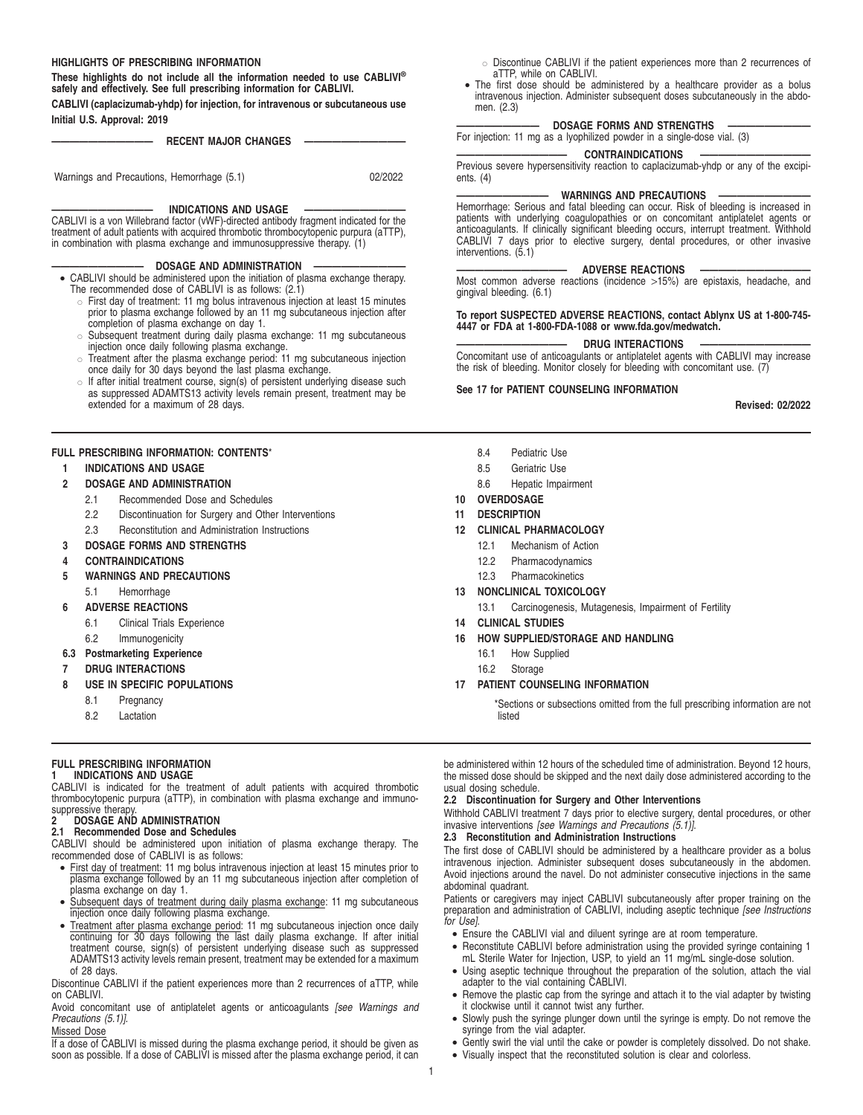#### **HIGHLIGHTS OF PRESCRIBING INFORMATION**

**These highlights do not include all the information needed to use CABLIVI® safely and effectively. See full prescribing information for CABLIVI.**

**CABLIVI (caplacizumab-yhdp) for injection, for intravenous or subcutaneous use Initial U.S. Approval: 2019**

**RECENT MAJOR CHANGES –** 

Warnings and Precautions, Hemorrhage (5.1) 02/2022

**INDICATIONS AND USAGE** 

CABLIVI is a von Willebrand factor (vWF)-directed antibody fragment indicated for the treatment of adult patients with acquired thrombotic thrombocytopenic purpura (aTTP), in combination with plasma exchange and immunosuppressive therapy. (1)

#### **DOSAGE AND ADMINISTRATION**

- CABLIVI should be administered upon the initiation of plasma exchange therapy. The recommended dose of CABLIVI is as follows: (2.1)
	- o First day of treatment: 11 mg bolus intravenous injection at least 15 minutes prior to plasma exchange followed by an 11 mg subcutaneous injection after completion of plasma exchange on day 1.
	- Subsequent treatment during daily plasma exchange: 11 mg subcutaneous injection once daily following plasma exchange.
	- " Treatment after the plasma exchange period: 11 mg subcutaneous injection once daily for 30 days beyond the last plasma exchange.
	- $\circ$  If after initial treatment course, sign(s) of persistent underlying disease such as suppressed ADAMTS13 activity levels remain present, treatment may be extended for a maximum of 28 days.

# **FULL PRESCRIBING INFORMATION: CONTENTS**\*

# **1 INDICATIONS AND USAGE**

- **2 DOSAGE AND ADMINISTRATION**
	- 2.1 Recommended Dose and Schedules
	- 2.2 Discontinuation for Surgery and Other Interventions
	- 2.3 Reconstitution and Administration Instructions

# **3 DOSAGE FORMS AND STRENGTHS**

- **4 CONTRAINDICATIONS**
- **5 WARNINGS AND PRECAUTIONS**
	- 5.1 Hemorrhage
- **6 ADVERSE REACTIONS**
	- 6.1 Clinical Trials Experience
	- 6.2 Immunogenicity
- **6.3 Postmarketing Experience**
- **7 DRUG INTERACTIONS**
- **8 USE IN SPECIFIC POPULATIONS**
	- 8.1 Pregnancy
	- 8.2 Lactation

# **FULL PRESCRIBING INFORMATION**

# **1 INDICATIONS AND USAGE**

CABLIVI is indicated for the treatment of adult patients with acquired thrombotic thrombocytopenic purpura (aTTP), in combination with plasma exchange and immunosuppressive therapy

# **2 DOSAGE AND ADMINISTRATION**

**2.1 Recommended Dose and Schedules**

CABLIVI should be administered upon initiation of plasma exchange therapy. The recommended dose of CABLIVI is as follows:

- First day of treatment: 11 mg bolus intravenous injection at least 15 minutes prior to plasma exchange followed by an 11 mg subcutaneous injection after completion of plasma exchange on day 1.
- Subsequent days of treatment during daily plasma exchange: 11 mg subcutaneous injection once daily following plasma exchange.
- Treatment after plasma exchange period: 11 mg subcutaneous injection once daily continuing for 30 days following the last daily plasma exchange. If after initial<br>treatment course, sign(s) of persistent underlying disease such as suppressed<br>ADAMTS13 activity levels remain present, treatment may be exte of 28 days.

Discontinue CABLIVI if the patient experiences more than 2 recurrences of aTTP, while on CABLIVI.

Avoid concomitant use of antiplatelet agents or anticoagulants [see Warnings and Precautions (5.1)].

# Missed Dose

If a dose of CABLIVI is missed during the plasma exchange period, it should be given as soon as possible. If a dose of CABLIVI is missed after the plasma exchange period, it can

- o Discontinue CABLIVI if the patient experiences more than 2 recurrences of aTTP, while on CABLIVI.
- The first dose should be administered by a healthcare provider as a bolus intravenous injection. Administer subsequent doses subcutaneously in the abdomen. (2.3)

# **DOSAGE FORMS AND STRENGTHS**

For injection: 11 mg as a lyophilized powder in a single-dose vial. (3)

# CONTRAINDICATIONS

Previous severe hypersensitivity reaction to caplacizumab-yhdp or any of the excipients. (4)

#### **WARNINGS AND PRECAUTIONS**

Hemorrhage: Serious and fatal bleeding can occur. Risk of bleeding is increased in patients with underlying coagulopathies or on concomitant antiplatelet agents or anticoagulants. If clinically significant bleeding occurs, interrupt treatment. Withhold CABLIVI 7 days prior to elective surgery, dental procedures, or other invasive interventions. (5.1)

# **ADVERSE REACTIONS**

Most common adverse reactions (incidence >15%) are epistaxis, headache, and gingival bleeding. (6.1)

# **To report SUSPECTED ADVERSE REACTIONS, contact Ablynx US at 1-800-745- 4447 or FDA at 1-800-FDA-1088 or www.fda.gov/medwatch.**

# **DRUG INTERACTIONS**

Concomitant use of anticoagulants or antiplatelet agents with CABLIVI may increase the risk of bleeding. Monitor closely for bleeding with concomitant use. (7)

# **See 17 for PATIENT COUNSELING INFORMATION**

**Revised: 02/2022**

- 8.4 Pediatric Use
- 8.5 Geriatric Use
- 8.6 Hepatic Impairment
- **10 OVERDOSAGE**
- **11 DESCRIPTION**

# **12 CLINICAL PHARMACOLOGY**

- 12.1 Mechanism of Action
- 12.2 Pharmacodynamics
- 12.3 Pharmacokinetics
- **13 NONCLINICAL TOXICOLOGY**
	- 13.1 Carcinogenesis, Mutagenesis, Impairment of Fertility
- **14 CLINICAL STUDIES**
- **16 HOW SUPPLIED/STORAGE AND HANDLING**
	- 16.1 How Supplied
	- 16.2 Storage

# **17 PATIENT COUNSELING INFORMATION**

\*Sections or subsections omitted from the full prescribing information are not listed

be administered within 12 hours of the scheduled time of administration. Beyond 12 hours, the missed dose should be skipped and the next daily dose administered according to the usual dosing schedule.

#### **2.2 Discontinuation for Surgery and Other Interventions**

Withhold CABLIVI treatment 7 days prior to elective surgery, dental procedures, or other invasive interventions [see Warnings and Precautions  $(5.1)$ ].

# **2.3 Reconstitution and Administration Instructions**

The first dose of CABLIVI should be administered by a healthcare provider as a bolus intravenous injection. Administer subsequent doses subcutaneously in the abdomen. Avoid injections around the navel. Do not administer consecutive injections in the same abdominal quadrant.

Patients or caregivers may inject CABLIVI subcutaneously after proper training on the preparation and administration of CABLIVI, including aseptic technique [see Instructions for Use].

- Ensure the CABLIVI vial and diluent syringe are at room temperature.
- Reconstitute CABLIVI before administration using the provided syringe containing 1
- mL Sterile Water for Injection, USP, to yield an 11 mg/mL single-dose solution. • Using aseptic technique throughout the preparation of the solution, attach the vial
- adapter to the vial containing CABLIVI. • Remove the plastic cap from the syringe and attach it to the vial adapter by twisting it clockwise until it cannot twist any further.
- Slowly push the syringe plunger down until the syringe is empty. Do not remove the syringe from the vial adapter.
- Gently swirl the vial until the cake or powder is completely dissolved. Do not shake.
- Visually inspect that the reconstituted solution is clear and colorless.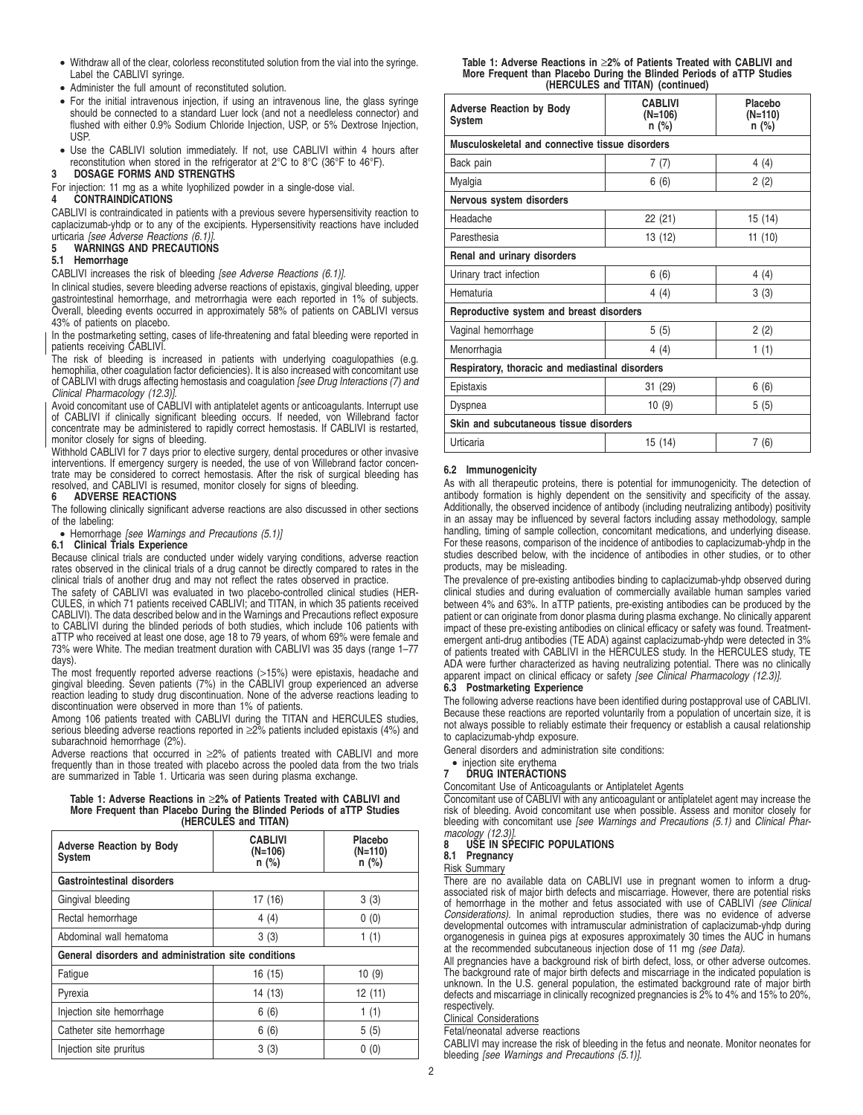- Withdraw all of the clear, colorless reconstituted solution from the vial into the syringe. Label the CABLIVI syringe.
- Administer the full amount of reconstituted solution.
- For the initial intravenous injection, if using an intravenous line, the glass syringe should be connected to a standard Luer lock (and not a needleless connector) and flushed with either 0.9% Sodium Chloride Injection, USP, or 5% Dextrose Injection, USP.
- Use the CABLIVI solution immediately. If not, use CABLIVI within 4 hours after reconstitution when stored in the refrigerator at 2°C to 8°C (36°F to 46°F).

# **3 DOSAGE FORMS AND STRENGTHS**

For injection: 11 mg as a white lyophilized powder in a single-dose vial.

# **4 CONTRAINDICATIONS**

CABLIVI is contraindicated in patients with a previous severe hypersensitivity reaction to caplacizumab-yhdp or to any of the excipients. Hypersensitivity reactions have included urticaria [see Adverse Reactions (6.1)].

# **5 WARNINGS AND PRECAUTIONS**

# **5.1 Hemorrhage**

CABLIVI increases the risk of bleeding [see Adverse Reactions (6.1)].

In clinical studies, severe bleeding adverse reactions of epistaxis, gingival bleeding, upper gastrointestinal hemorrhage, and metrorrhagia were each reported in 1% of subjects. Overall, bleeding events occurred in approximately 58% of patients on CABLIVI versus 43% of patients on placebo.

In the postmarketing setting, cases of life-threatening and fatal bleeding were reported in patients receiving CABLIVI.

The risk of bleeding is increased in patients with underlying coagulopathies (e.g. hemophilia, other coagulation factor deficiencies). It is also increased with concomitant use of CABLIVI with drugs affecting hemostasis and coagulation [see Drug Interactions (7) and Clinical Pharmacology (12.3)]

Avoid concomitant use of CABLIVI with antiplatelet agents or anticoagulants. Interrupt use of CABLIVI if clinically significant bleeding occurs. If needed, von Willebrand factor concentrate may be administered to rapidly correct hemostasis. If CABLIVI is restarted, monitor closely for signs of bleeding.

Withhold CABLIVI for 7 days prior to elective surgery, dental procedures or other invasive interventions. If emergency surgery is needed, the use of von Willebrand factor concentrate may be considered to correct hemostasis. After the risk of surgical bleeding has resolved, and CABLIVI is resumed, monitor closely for signs of bleeding.

# **6 ADVERSE REACTIONS**

The following clinically significant adverse reactions are also discussed in other sections of the labeling:

• Hemorrhage [see Warnings and Precautions (5.1)]

#### **6.1 Clinical Trials Experience**

Because clinical trials are conducted under widely varying conditions, adverse reaction rates observed in the clinical trials of a drug cannot be directly compared to rates in the clinical trials of another drug and may not reflect the rates observed in practice.

The safety of CABLIVI was evaluated in two placebo-controlled clinical studies (HER-CULES, in which 71 patients received CABLIVI; and TITAN, in which 35 patients received CABLIVI). The data described below and in the Warnings and Precautions reflect exposure to CABLIVI during the blinded periods of both studies, which include 106 patients with aTTP who received at least one dose, age 18 to 79 years, of whom 69% were female and 73% were White. The median treatment duration with CABLIVI was 35 days (range 1–77 days).

The most frequently reported adverse reactions (>15%) were epistaxis, headache and gingival bleeding. Seven patients (7%) in the CABLIVI group experienced an adverse reaction leading to study drug discontinuation. None of the adverse reactions leading to discontinuation were observed in more than 1% of patients.

Among 106 patients treated with CABLIVI during the TITAN and HERCULES studies, serious bleeding adverse reactions reported in ≥2% patients included epistaxis (4%) and subarachnoid hemorrhage (2%).

Adverse reactions that occurred in ≥2% of patients treated with CABLIVI and more frequently than in those treated with placebo across the pooled data from the two trials are summarized in Table 1. Urticaria was seen during plasma exchange.

# **Table 1: Adverse Reactions in** ≥**2% of Patients Treated with CABLIVI and More Frequent than Placebo During the Blinded Periods of aTTP Studies (HERCULES and TITAN)**

| <b>Adverse Reaction by Body</b><br><b>System</b>     | <b>CABLIVI</b><br>$(N=106)$<br>$n$ (%) | Placebo<br>(N=110)<br>$n$ (%) |  |  |
|------------------------------------------------------|----------------------------------------|-------------------------------|--|--|
| <b>Gastrointestinal disorders</b>                    |                                        |                               |  |  |
| Gingival bleeding                                    | 17 (16)                                | 3(3)                          |  |  |
| Rectal hemorrhage                                    | 4(4)                                   | 0(0)                          |  |  |
| Abdominal wall hematoma                              | 3(3)                                   | 1(1)                          |  |  |
| General disorders and administration site conditions |                                        |                               |  |  |
| Fatigue                                              | 16 (15)                                | 10(9)                         |  |  |
| Pyrexia                                              | 14 (13)                                | 12 (11)                       |  |  |
| Injection site hemorrhage                            | 6(6)                                   | 1(1)                          |  |  |
| Catheter site hemorrhage                             | 6(6)                                   | 5(5)                          |  |  |
| Injection site pruritus                              | 3(3)                                   | 0(0)                          |  |  |

#### **Table 1: Adverse Reactions in** ≥**2% of Patients Treated with CABLIVI and More Frequent than Placebo During the Blinded Periods of aTTP Studies (HERCULES and TITAN) (continued)**

| <b>Adverse Reaction by Body</b><br>System       | <b>CABLIVI</b><br>$(N=106)$<br>n (%) | Placebo<br>$(N=110)$<br>n (%) |  |  |
|-------------------------------------------------|--------------------------------------|-------------------------------|--|--|
| Musculoskeletal and connective tissue disorders |                                      |                               |  |  |
| Back pain                                       | 7(7)                                 | 4(4)                          |  |  |
| Myalgia                                         | 6(6)                                 | 2(2)                          |  |  |
| Nervous system disorders                        |                                      |                               |  |  |
| Headache                                        | 22 (21)                              | 15 (14)                       |  |  |
| Paresthesia                                     | 13 (12)                              | 11(10)                        |  |  |
| Renal and urinary disorders                     |                                      |                               |  |  |
| Urinary tract infection                         | 6(6)                                 | 4(4)                          |  |  |
| Hematuria                                       | 4 (4)                                | 3(3)                          |  |  |
| Reproductive system and breast disorders        |                                      |                               |  |  |
| Vaginal hemorrhage                              | 5(5)                                 | 2(2)                          |  |  |
| Menorrhagia                                     | 4(4)                                 | 1(1)                          |  |  |
| Respiratory, thoracic and mediastinal disorders |                                      |                               |  |  |
| Epistaxis                                       | 31 (29)                              | 6(6)                          |  |  |
| Dyspnea                                         | 10 (9)                               | 5(5)                          |  |  |
| Skin and subcutaneous tissue disorders          |                                      |                               |  |  |
| Urticaria                                       | 15 (14)                              | 7(6)                          |  |  |

# **6.2 Immunogenicity**

As with all therapeutic proteins, there is potential for immunogenicity. The detection of antibody formation is highly dependent on the sensitivity and specificity of the assay. Additionally, the observed incidence of antibody (including neutralizing antibody) positivity in an assay may be influenced by several factors including assay methodology, sample handling, timing of sample collection, concomitant medications, and underlying disease. For these reasons, comparison of the incidence of antibodies to caplacizumab-yhdp in the studies described below, with the incidence of antibodies in other studies, or to other products, may be misleading.

The prevalence of pre-existing antibodies binding to caplacizumab-yhdp observed during clinical studies and during evaluation of commercially available human samples varied between 4% and 63%. In aTTP patients, pre-existing antibodies can be produced by the patient or can originate from donor plasma during plasma exchange. No clinically apparent impact of these pre-existing antibodies on clinical efficacy or safety was found. Treatmentemergent anti-drug antibodies (TE ADA) against caplacizumab-yhdp were detected in 3% of patients treated with CABLIVI in the HERCULES study. In the HERCULES study, TE ADA were further characterized as having neutralizing potential. There was no clinically apparent impact on clinical efficacy or safety [see Clinical Pharmacology (12.3)].

# **6.3 Postmarketing Experience**

The following adverse reactions have been identified during postapproval use of CABLIVI. Because these reactions are reported voluntarily from a population of uncertain size, it is not always possible to reliably estimate their frequency or establish a causal relationship to caplacizumab-yhdp exposure.

General disorders and administration site conditions:

#### • injection site erythema **7 DRUG INTERACTIONS**

# Concomitant Use of Anticoagulants or Antiplatelet Agents

Concomitant use of CABLIVI with any anticoagulant or antiplatelet agent may increase the risk of bleeding. Avoid concomitant use when possible. Assess and monitor closely for bleeding with concomitant use [see Warnings and Precautions (5.1) and Clinical Phar-

# macology (12.3)]. **8 USE IN SPECIFIC POPULATIONS**

# **8.1 Pregnancy**

# Risk Summary

There are no available data on CABLIVI use in pregnant women to inform a drugassociated risk of major birth defects and miscarriage. However, there are potential risks of hemorrhage in the mother and fetus associated with use of CABLIVI (see Clinical Considerations). In animal reproduction studies, there was no evidence of adverse developmental outcomes with intramuscular administration of caplacizumab-yhdp during organogenesis in guinea pigs at exposures approximately 30 times the AUC in humans<br>at the recommended subcutaneous injection dose of 11 mg *(see Data)*.

All pregnancies have a background risk of birth defect, loss, or other adverse outcomes. The background rate of major birth defects and miscarriage in the indicated population is unknown. In the U.S. general population, the estimated background rate of major birth defects and miscarriage in clinically recognized pregnancies is 2% to 4% and 15% to 20%, respectively.

Clinical Considerations

Fetal/neonatal adverse reactions

CABLIVI may increase the risk of bleeding in the fetus and neonate. Monitor neonates for bleeding [see Warnings and Precautions (5.1)].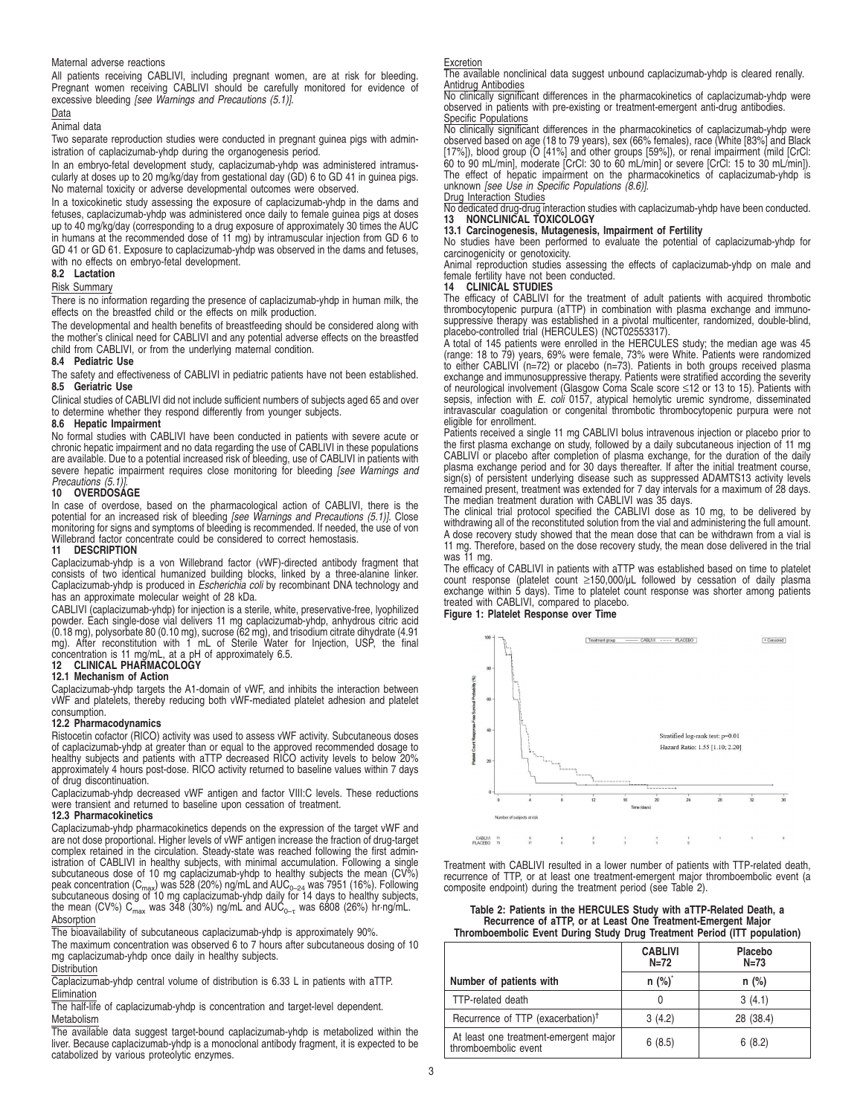#### Maternal adverse reactions

All patients receiving CABLIVI, including pregnant women, are at risk for bleeding. Pregnant women receiving CABLIVI should be carefully monitored for evidence of excessive bleeding [see Warnings and Precautions (5.1)].

# Data

Animal data

Two separate reproduction studies were conducted in pregnant guinea pigs with administration of caplacizumab-yhdp during the organogenesis period.

In an embryo-fetal development study, caplacizumab-yhdp was administered intramuscularly at doses up to 20 mg/kg/day from gestational day (GD) 6 to GD 41 in guinea pigs. No maternal toxicity or adverse developmental outcomes were observed.

In a toxicokinetic study assessing the exposure of caplacizumab-yhdp in the dams and fetuses, caplacizumab-yhdp was administered once daily to female guinea pigs at doses up to 40 mg/kg/day (corresponding to a drug exposure of approximately 30 times the AUC in humans at the recommended dose of 11 mg) by intramuscular injection from GD 6 to GD 41 or GD 61. Exposure to caplacizumab-yhdp was observed in the dams and fetuses, with no effects on embryo-fetal development.

#### **8.2 Lactation**

# Risk Summary

There is no information regarding the presence of caplacizumab-yhdp in human milk, the effects on the breastfed child or the effects on milk production.

The developmental and health benefits of breastfeeding should be considered along with the mother's clinical need for CABLIVI and any potential adverse effects on the breastfed child from CABLIVI, or from the underlying maternal condition.

#### **8.4 Pediatric Use**

The safety and effectiveness of CABLIVI in pediatric patients have not been established. **8.5 Geriatric Use**

Clinical studies of CABLIVI did not include sufficient numbers of subjects aged 65 and over to determine whether they respond differently from younger subjects.

# **8.6 Hepatic Impairment**

No formal studies with CABLIVI have been conducted in patients with severe acute or chronic hepatic impairment and no data regarding the use of CABLIVI in these populations are available. Due to a potential increased risk of bleeding, use of CABLIVI in patients with severe hepatic impairment requires close monitoring for bleeding [see Warnings and

# Precautions (5.1)]. **10 OVERDOSAGE**

In case of overdose, based on the pharmacological action of CABLIVI, there is the potential for an increased risk of bleeding [see Warnings and Precautions (5.1)]. Close monitoring for signs and symptoms of bleeding is recommended. If needed, the use of von Willebrand factor concentrate could be considered to correct hemostasis.

#### **11 DESCRIPTION**

Caplacizumab-yhdp is a von Willebrand factor (vWF)-directed antibody fragment that consists of two identical humanized building blocks, linked by a three-alanine linker.<br>Caplacizumab-yhdp is produced in *Escherichia coli* by recombinant DNA technology and has an approximate molecular weight of 28 kDa.

CABLIVI (caplacizumab-yhdp) for injection is a sterile, white, preservative-free, lyophilized powder. Each single-dose vial delivers 11 mg caplacizumab-yhdp, anhydrous citric acid<br>(0.18 mg), polysorbate 80 (0.10 mg), sucrose (62 mg), and trisodium citrate dihydrate (4.91<br>mg). After reconstitution with 1 mL of Steri concentration is 11 mg/mL, at a pH of approximately 6.5. **12 CLINICAL PHARMACOLOGY**

# **12.1 Mechanism of Action**

Caplacizumab-yhdp targets the A1-domain of vWF, and inhibits the interaction between vWF and platelets, thereby reducing both vWF-mediated platelet adhesion and platelet consumption.

#### **12.2 Pharmacodynamics**

Ristocetin cofactor (RICO) activity was used to assess vWF activity. Subcutaneous doses of caplacizumab-yhdp at greater than or equal to the approved recommended dosage to healthy subjects and patients with aTTP decreased RICO activity levels to below 20% approximately 4 hours post-dose. RICO activity returned to baseline values within 7 days of drug discontinuation.

Caplacizumab-yhdp decreased vWF antigen and factor VIII:C levels. These reductions were transient and returned to baseline upon cessation of treatment.

#### **12.3 Pharmacokinetics**

Caplacizumab-yhdp pharmacokinetics depends on the expression of the target vWF and are not dose proportional. Higher levels of vWF antigen increase the fraction of drug-target complex retained in the circulation. Steady-state was reached following the first administration of CABLIVI in healthy subjects, with minimal accumulation. Following a single subcutaneous dose of 10 mg caplacizumab-yhdp to healthy subjects the mean (CV%) peak concentration (C<sub>max</sub>) was 528 (20%) ng/mL and AUC<sub>0–24</sub> was 7951 (16%). Following<br>subcutaneous dosing of 10 mg caplacizumab-yhdp daily for 14 days to healthy subjects, the mean (CV%)  $C_{\text{max}}$  was 348 (30%) ng/mL and AUC<sub>0–τ</sub> was 6808 (26%) hr·ng/mL. Absorption

The bioavailability of subcutaneous caplacizumab-yhdp is approximately 90%.

The maximum concentration was observed 6 to 7 hours after subcutaneous dosing of 10 mg caplacizumab-yhdp once daily in healthy subjects.

#### Distribution

Caplacizumab-yhdp central volume of distribution is 6.33 L in patients with aTTP. Elimination

The half-life of caplacizumab-yhdp is concentration and target-level dependent. Metabolism

The available data suggest target-bound caplacizumab-yhdp is metabolized within the liver. Because caplacizumab-yhdp is a monoclonal antibody fragment, it is expected to be catabolized by various proteolytic enzymes.

Excretion The available nonclinical data suggest unbound caplacizumab-yhdp is cleared renally. Antidrug Antibodies

No clinically significant differences in the pharmacokinetics of caplacizumab-yhdp were observed in patients with pre-existing or treatment-emergent anti-drug antibodies. Specific Populations

No clinically significant differences in the pharmacokinetics of caplacizumab-yhdp were observed based on age (18 to 79 years), sex (66% females), race (White [83%] and Black [17%]), blood group (O [41%] and other groups [59%]), or renal impairment (mild [CrCl: 60 to 90 mL/min], moderate [CrCl: 30 to 60 mL/min] or severe [CrCl: 15 to 30 mL/min]). The effect of hepatic impairment on the pharmacokinetics of caplacizumab-yhdp is unknown [see Use in Specific Populations (8.6)].

# Drug Interaction Studies

No dedicated drug-drug interaction studies with caplacizumab-yhdp have been conducted. **13 NONCLINICAL TOXICOLOGY**

# **13.1 Carcinogenesis, Mutagenesis, Impairment of Fertility**

No studies have been performed to evaluate the potential of caplacizumab-yhdp for carcinogenicity or genotoxicity.

Animal reproduction studies assessing the effects of caplacizumab-yhdp on male and female fertility have not been conducted.

#### **14 CLINICAL STUDIES**

The efficacy of CABLIVI for the treatment of adult patients with acquired thrombotic thrombocytopenic purpura (aTTP) in combination with plasma exchange and immuno-suppressive therapy was established in a pivotal multicenter, randomized, double-blind, placebo-controlled trial (HERCULES) (NCT02553317).

A total of 145 patients were enrolled in the HERCULES study; the median age was 45 (range: 18 to 79) years, 69% were female, 73% were White. Patients were randomized to either CABLIVI ( $n=72$ ) or placebo ( $n=73$ ). Patient intravascular coagulation or congenital thrombotic thrombocytopenic purpura were not eligible for enrollment.

Patients received a single 11 mg CABLIVI bolus intravenous injection or placebo prior to the first plasma exchange on study, followed by a daily subcutaneous injection of 11 mg CABLIVI or placebo after completion of plasma exchange, for the duration of the daily plasma exchange period and for 30 days thereafter. If after the initial treatment course, sign(s) of persistent underlying disease such as suppressed ADAMTS13 activity levels remained present, treatment was extended for 7 day intervals for a maximum of 28 days.

The median treatment duration with CABLIVI was 35 days. The clinical trial protocol specified the CABLIVI dose as 10 mg, to be delivered by withdrawing all of the reconstituted solution from the vial and administering the full amount. A dose recovery study showed that the mean dose that can be withdrawn from a vial is 11 mg. Therefore, based on the dose recovery study, the mean dose delivered in the trial was 11 mg.

The efficacy of CABLIVI in patients with aTTP was established based on time to platelet count response (platelet count ≥150,000/µL followed by cessation of daily plasma exchange within 5 days). Time to platelet count response was shorter among patients treated with CABLIVI, compared to placebo.

# **Figure 1: Platelet Response over Time**



Treatment with CABLIVI resulted in a lower number of patients with TTP-related death, recurrence of TTP, or at least one treatment-emergent major thromboembolic event (a composite endpoint) during the treatment period (see Table 2).

**Table 2: Patients in the HERCULES Study with aTTP-Related Death, a Recurrence of aTTP, or at Least One Treatment-Emergent Major Thromboembolic Event During Study Drug Treatment Period (ITT population)**

|                                                               | <b>CABLIVI</b><br>$N=72$ | Placebo<br>$N=73$ |
|---------------------------------------------------------------|--------------------------|-------------------|
| Number of patients with                                       | $n$ (%) <sup>*</sup>     | $n$ (%)           |
| <b>TTP-related death</b>                                      |                          | 3(4.1)            |
| Recurrence of TTP (exacerbation) <sup>†</sup>                 | 3(4.2)                   | 28 (38.4)         |
| At least one treatment-emergent major<br>thromboembolic event | 6(8.5)                   | 6(8.2)            |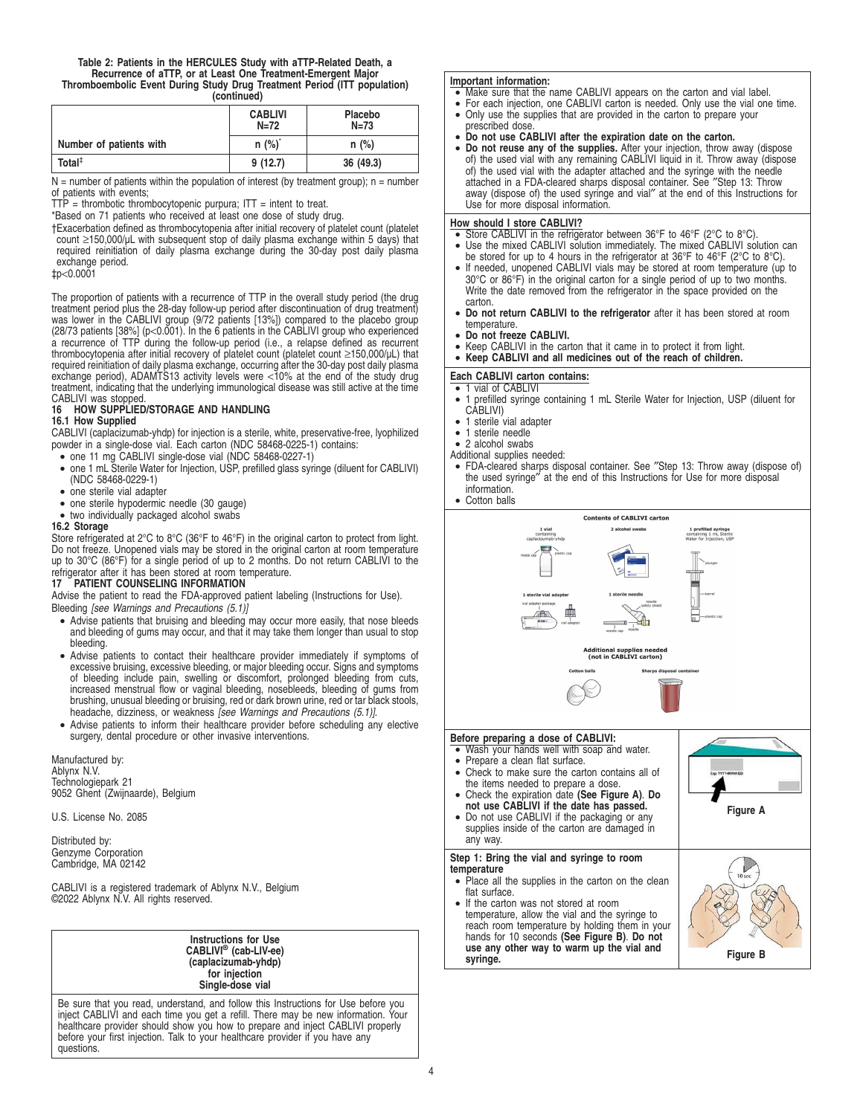# **Table 2: Patients in the HERCULES Study with aTTP-Related Death, a Recurrence of aTTP, or at Least One Treatment-Emergent Major Thromboembolic Event During Study Drug Treatment Period (ITT population) (continued)**

|                         | <b>CABLIVI</b><br>$N=72$ | Placebo<br>$N=73$ |
|-------------------------|--------------------------|-------------------|
| Number of patients with | $n$ (%) <sup>*</sup>     | $n$ (%)           |
| Total $†$               | 9(12.7)                  | 36 (49.3)         |

 $N =$  number of patients within the population of interest (by treatment group); n = number of patients with events;

 $T\dot{T}$  = thrombotic thrombocytopenic purpura;  $T\dot{T}$  = intent to treat.

\*Based on 71 patients who received at least one dose of study drug.

†Exacerbation defined as thrombocytopenia after initial recovery of platelet count (platelet count (platelet<br>count ≥150,000/µL with subsequent stop of daily plasma exchange within 5 days) that<br>required reinitiation of dai exchange period.

‡p<0.0001

The proportion of patients with a recurrence of TTP in the overall study period (the drug treatment period plus the 28-day follow-up period after discontinuation of drug treatment) was lower in the CABLIVI group (9/72 patients [13%]) compared to the placebo group (28/73 patients [38%] (p<0.001). In the 6 patients in the CABLIVI group who experienced a recurrence of TTP during the follow-up period (i.e., a relapse defined as recurrent thrombocytopenia after initial recovery of platelet count (platelet count ≥150,000/µL) that required reinitiation of daily plasma exchange, occurring after the 30-day post daily plasma exchange period), ADAMTS13 activity levels were <10% at the end of the study drug treatment, indicating that the underlying immunological disease was still active at the time CABLIVI was stopped.<br>16 HOW SUPPLIED

# **16 HOW SUPPLIED/STORAGE AND HANDLING**

# **16.1 How Supplied**

CABLIVI (caplacizumab-yhdp) for injection is a sterile, white, preservative-free, lyophilized powder in a single-dose vial. Each carton (NDC 58468-0225-1) contains:

- one 11 mg CABLIVI single-dose vial (NDC 58468-0227-1)
- one 1 mL Sterile Water for Injection, USP, prefilled glass syringe (diluent for CABLIVI) (NDC 58468-0229-1)
- one sterile vial adapter
- one sterile hypodermic needle (30 gauge)
- two individually packaged alcohol swabs

# **16.2 Storage**

Store refrigerated at 2°C to 8°C (36°F to 46°F) in the original carton to protect from light. Do not freeze. Unopened vials may be stored in the original carton at room temperature up to 30°C (86°F) for a single period of up to 2 months. Do not return CABLIVI to the refrigerator after it has been stored at room temperature.

# **PATIENT COUNSELING INFORMATION**

Advise the patient to read the FDA-approved patient labeling (Instructions for Use). Bleeding [see Warnings and Precautions (5.1)]

- Advise patients that bruising and bleeding may occur more easily, that nose bleeds and bleeding of gums may occur, and that it may take them longer than usual to stop bleeding.
- Advise patients to contact their healthcare provider immediately if symptoms of excessive bruising, excessive bleeding, or major bleeding occur. Signs and symptoms of bleeding include pain, swelling or discomfort, prolonged bleeding from cuts,<br>increased menstrual flow or vaginal bleeding, nosebleeds, bleeding of gums from<br>brushing, unusual bleeding or bruising, red or dark brown urin headache, dizziness, or weakness [see Warnings and Precautions (5.1)].
- Advise patients to inform their healthcare provider before scheduling any elective surgery, dental procedure or other invasive interventions.

Manufactured by: Ablynx N.V. Technologiepark 21 9052 Ghent (Zwijnaarde), Belgium

U.S. License No. 2085

Distributed by: Genzyme Corporation Cambridge, MA 02142

CABLIVI is a registered trademark of Ablynx N.V., Belgium ©2022 Ablynx N.V. All rights reserved.

> **Instructions for Use CABLIVI® (cab-LIV-ee) (caplacizumab-yhdp) for injection Single-dose vial**

Be sure that you read, understand, and follow this Instructions for Use before you inject CABLIVI and each time you get a refill. There may be new information. Your healthcare provider should show you how to prepare and inject CABLIVI properly before your first injection. Talk to your healthcare provider if you have any questions.

# **Important information:**

- Make sure that the name CABLIVI appears on the carton and vial label.
- For each injection, one CABLIVI carton is needed. Only use the vial one time.
- Only use the supplies that are provided in the carton to prepare your
- prescribed dose • **Do not use CABLIVI after the expiration date on the carton.**
- **Do not reuse any of the supplies.** After your injection, throw away (dispose of) the used vial with any remaining CABLIVI liquid in it. Throw away (dispose of) the used vial with the adapter attached and the syringe with the needle attached in a FDA-cleared sharps disposal container. See ″Step 13: Throw away (dispose of) the used syringe and vial″ at the end of this Instructions for Use for more disposal information.

# **How should I store CABLIVI?**

- Store CABLIVI in the refrigerator between 36°F to 46°F (2°C to 8°C). Use the mixed CABLIVI solution immediately. The mixed CABLIVI solution can
- be stored for up to 4 hours in the refrigerator at 36°F to 46°F (2°C to 8°C).
- If needed, unopened CABLIVI vials may be stored at room temperature (up to 30°C or 86°F) in the original carton for a single period of up to two months. Write the date removed from the refrigerator in the space provided on the carton.
- **Do not return CABLIVI to the refrigerator** after it has been stored at room temperature.
- **Do not freeze CABLIVI.**
- Keep CABLIVI in the carton that it came in to protect it from light.
- **Keep CABLIVI and all medicines out of the reach of children.**

# **Each CABLIVI carton contains:**

- 1 vial of CABLIVI<br>• 1 prefilled svringe • 1 prefilled syringe containing 1 mL Sterile Water for Injection, USP (diluent for CABLIVI)
- $\bullet$  1 sterile vial adapter
- 1 sterile needle
- 2 alcohol swabs
- Additional supplies needed:
- FDA-cleared sharps disposal container. See ″Step 13: Throw away (dispose of) the used syringe″ at the end of this Instructions for Use for more disposal information.
- Cotton balls

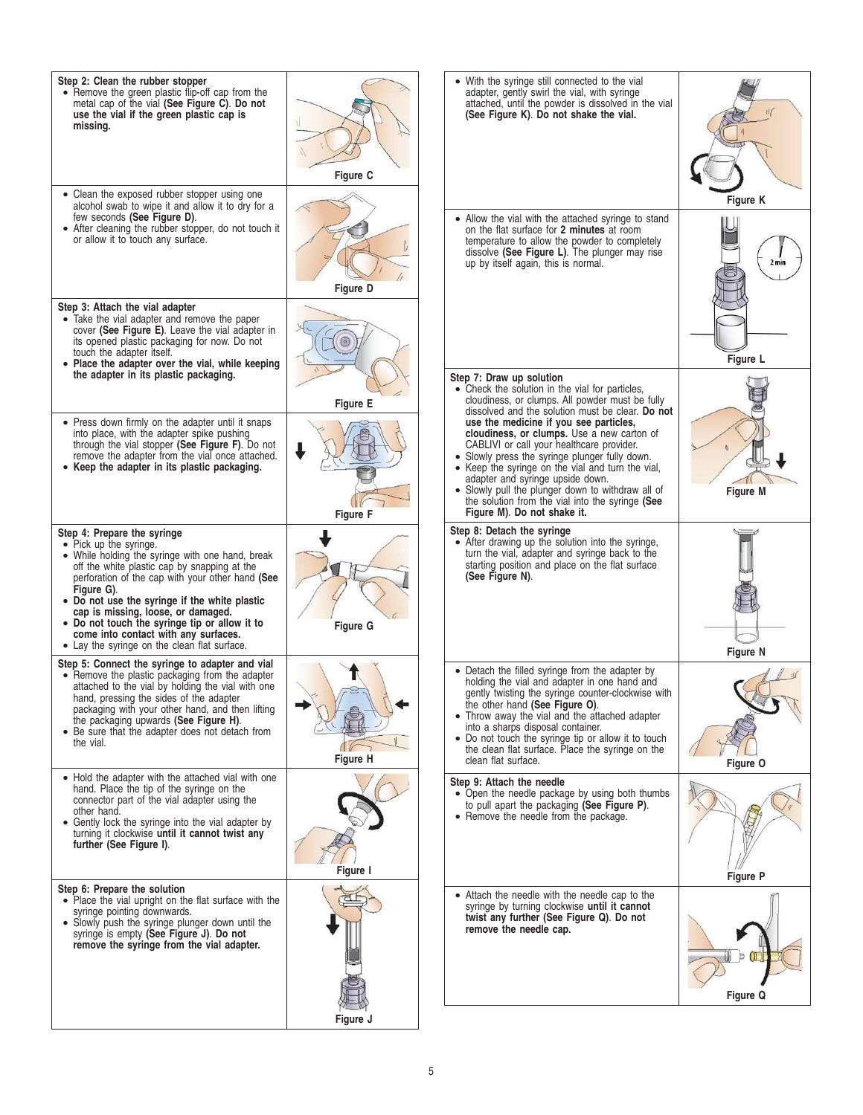